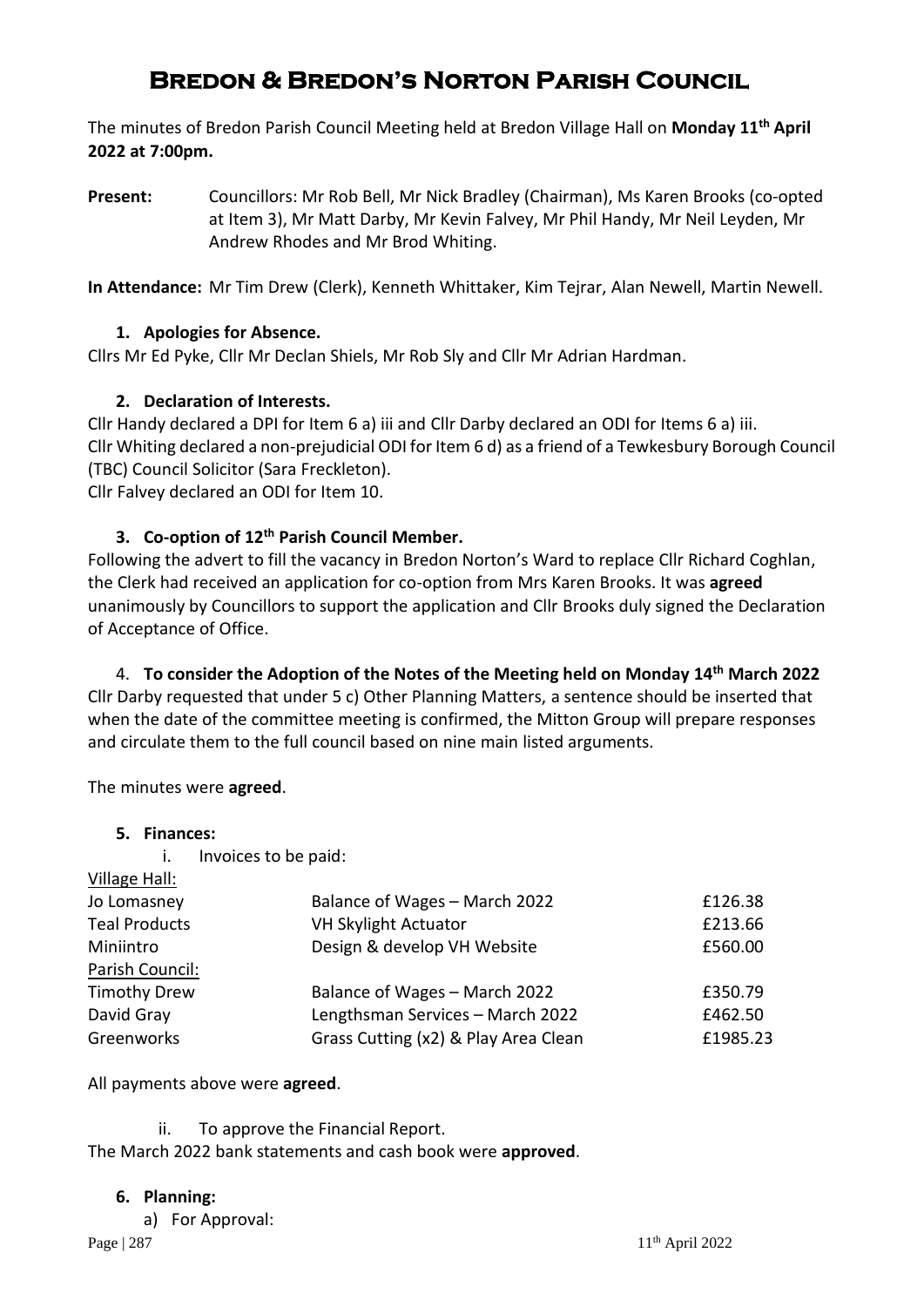# **Bredon & Bredon's Norton Parish Council**

The minutes of Bredon Parish Council Meeting held at Bredon Village Hall on **Monday 11th April 2022 at 7:00pm.**

**Present:** Councillors: Mr Rob Bell, Mr Nick Bradley (Chairman), Ms Karen Brooks (co-opted at Item 3), Mr Matt Darby, Mr Kevin Falvey, Mr Phil Handy, Mr Neil Leyden, Mr Andrew Rhodes and Mr Brod Whiting.

**In Attendance:** Mr Tim Drew (Clerk), Kenneth Whittaker, Kim Tejrar, Alan Newell, Martin Newell.

## **1. Apologies for Absence.**

Cllrs Mr Ed Pyke, Cllr Mr Declan Shiels, Mr Rob Sly and Cllr Mr Adrian Hardman.

## **2. Declaration of Interests.**

Cllr Handy declared a DPI for Item 6 a) iii and Cllr Darby declared an ODI for Items 6 a) iii. Cllr Whiting declared a non-prejudicial ODI for Item 6 d) as a friend of a Tewkesbury Borough Council (TBC) Council Solicitor (Sara Freckleton).

Cllr Falvey declared an ODI for Item 10.

## **3. Co-option of 12th Parish Council Member.**

Following the advert to fill the vacancy in Bredon Norton's Ward to replace Cllr Richard Coghlan, the Clerk had received an application for co-option from Mrs Karen Brooks. It was **agreed** unanimously by Councillors to support the application and Cllr Brooks duly signed the Declaration of Acceptance of Office.

4. **To consider the Adoption of the Notes of the Meeting held on Monday 14th March 2022**  Cllr Darby requested that under 5 c) Other Planning Matters, a sentence should be inserted that when the date of the committee meeting is confirmed, the Mitton Group will prepare responses and circulate them to the full council based on nine main listed arguments.

The minutes were **agreed**.

#### **5. Finances:**

i. Invoices to be paid: Village Hall:

| Village Hall:        |                                      |          |
|----------------------|--------------------------------------|----------|
| Jo Lomasney          | Balance of Wages - March 2022        | £126.38  |
| <b>Teal Products</b> | VH Skylight Actuator                 | £213.66  |
| Miniintro            | Design & develop VH Website          | £560.00  |
| Parish Council:      |                                      |          |
| <b>Timothy Drew</b>  | Balance of Wages - March 2022        | £350.79  |
| David Gray           | Lengthsman Services - March 2022     | £462.50  |
| Greenworks           | Grass Cutting (x2) & Play Area Clean | £1985.23 |
|                      |                                      |          |

All payments above were **agreed**.

ii. To approve the Financial Report. The March 2022 bank statements and cash book were **approved**.

#### **6. Planning:**

a) For Approval: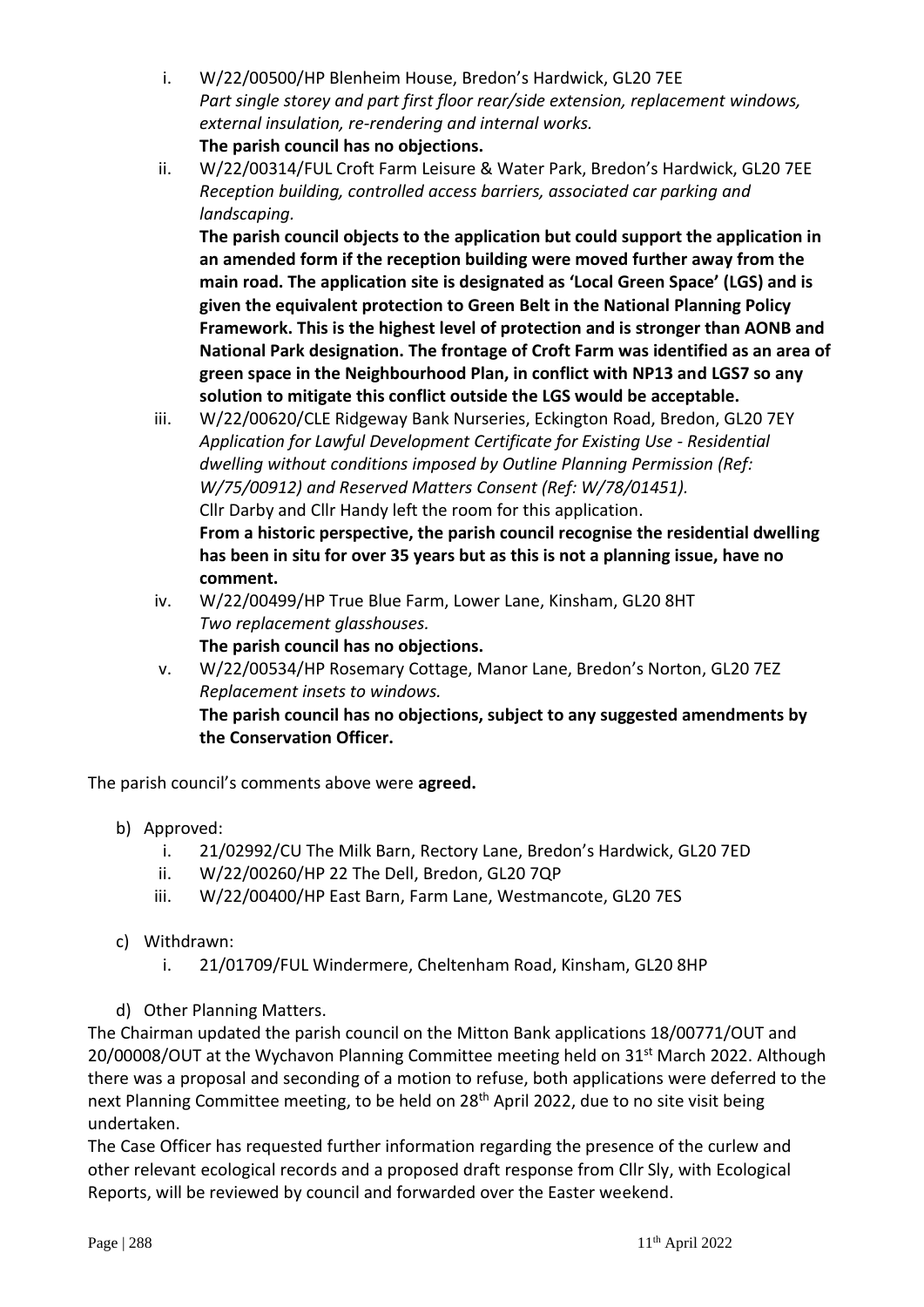- i. W/22/00500/HP Blenheim House, Bredon's Hardwick, GL20 7EE *Part single storey and part first floor rear/side extension, replacement windows, external insulation, re-rendering and internal works.* **The parish council has no objections.**
- ii. W/22/00314/FUL Croft Farm Leisure & Water Park, Bredon's Hardwick, GL20 7EE *Reception building, controlled access barriers, associated car parking and landscaping.*

**The parish council objects to the application but could support the application in an amended form if the reception building were moved further away from the main road. The application site is designated as 'Local Green Space' (LGS) and is given the equivalent protection to Green Belt in the National Planning Policy Framework. This is the highest level of protection and is stronger than AONB and National Park designation. The frontage of Croft Farm was identified as an area of green space in the Neighbourhood Plan, in conflict with NP13 and LGS7 so any solution to mitigate this conflict outside the LGS would be acceptable.**

- iii. W/22/00620/CLE Ridgeway Bank Nurseries, Eckington Road, Bredon, GL20 7EY *Application for Lawful Development Certificate for Existing Use - Residential dwelling without conditions imposed by Outline Planning Permission (Ref: W/75/00912) and Reserved Matters Consent (Ref: W/78/01451).* Cllr Darby and Cllr Handy left the room for this application. **From a historic perspective, the parish council recognise the residential dwelling has been in situ for over 35 years but as this is not a planning issue, have no comment.**
- iv. W/22/00499/HP True Blue Farm, Lower Lane, Kinsham, GL20 8HT *Two replacement glasshouses.*

**The parish council has no objections.**

v. W/22/00534/HP Rosemary Cottage, Manor Lane, Bredon's Norton, GL20 7EZ *Replacement insets to windows.* **The parish council has no objections, subject to any suggested amendments by the Conservation Officer.**

The parish council's comments above were **agreed.**

- b) Approved:
	- i. 21/02992/CU The Milk Barn, Rectory Lane, Bredon's Hardwick, GL20 7ED
	- ii. W/22/00260/HP 22 The Dell, Bredon, GL20 7QP
	- iii. W/22/00400/HP East Barn, Farm Lane, Westmancote, GL20 7ES
- c) Withdrawn:
	- i. 21/01709/FUL Windermere, Cheltenham Road, Kinsham, GL20 8HP
- d) Other Planning Matters.

The Chairman updated the parish council on the Mitton Bank applications 18/00771/OUT and 20/00008/OUT at the Wychavon Planning Committee meeting held on  $31<sup>st</sup>$  March 2022. Although there was a proposal and seconding of a motion to refuse, both applications were deferred to the next Planning Committee meeting, to be held on 28<sup>th</sup> April 2022, due to no site visit being undertaken.

The Case Officer has requested further information regarding the presence of the curlew and other relevant ecological records and a proposed draft response from Cllr Sly, with Ecological Reports, will be reviewed by council and forwarded over the Easter weekend.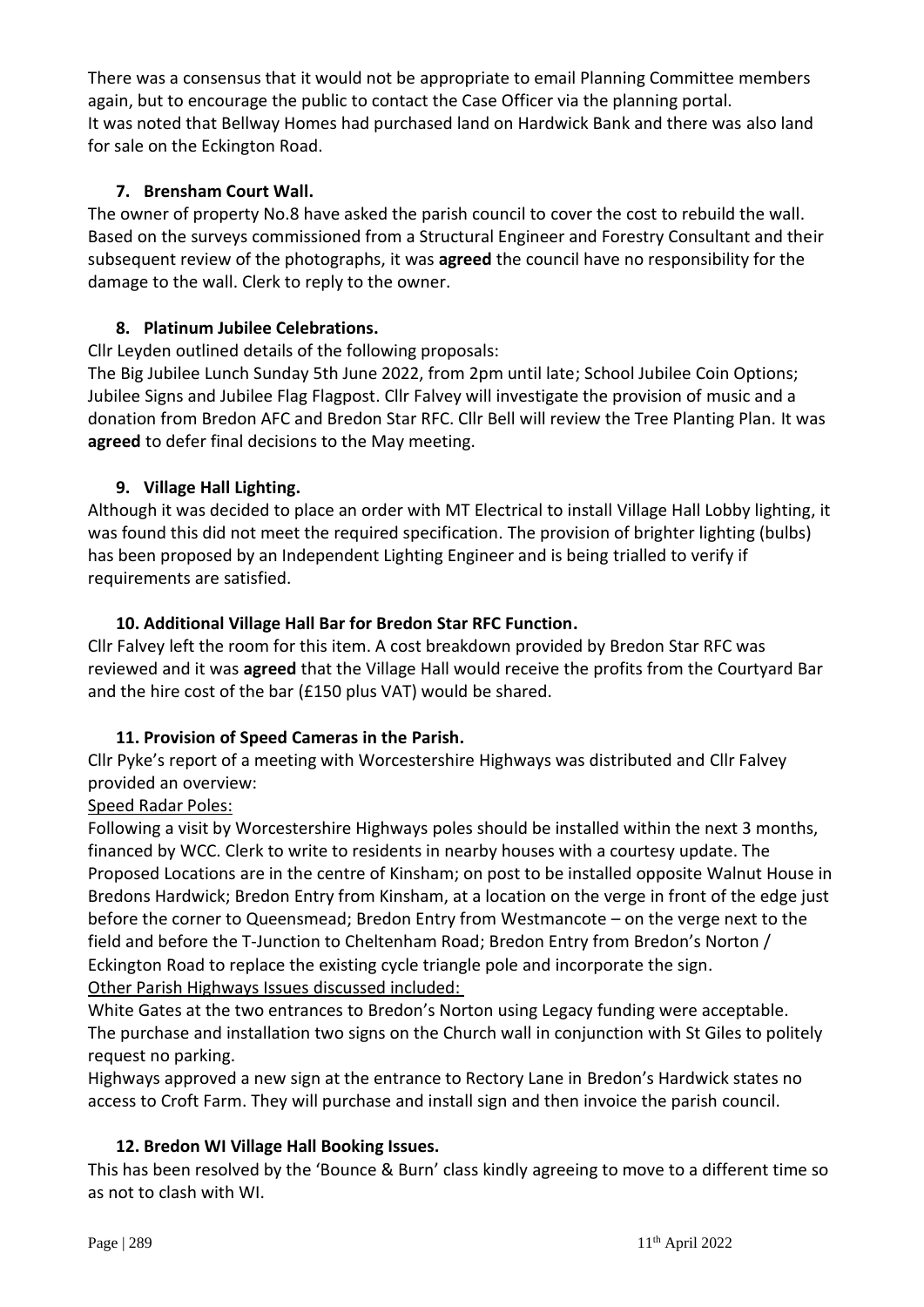There was a consensus that it would not be appropriate to email Planning Committee members again, but to encourage the public to contact the Case Officer via the planning portal. It was noted that Bellway Homes had purchased land on Hardwick Bank and there was also land for sale on the Eckington Road.

## **7. Brensham Court Wall.**

The owner of property No.8 have asked the parish council to cover the cost to rebuild the wall. Based on the surveys commissioned from a Structural Engineer and Forestry Consultant and their subsequent review of the photographs, it was **agreed** the council have no responsibility for the damage to the wall. Clerk to reply to the owner.

## **8. Platinum Jubilee Celebrations.**

Cllr Leyden outlined details of the following proposals:

The Big Jubilee Lunch Sunday 5th June 2022, from 2pm until late; School Jubilee Coin Options; Jubilee Signs and Jubilee Flag Flagpost. Cllr Falvey will investigate the provision of music and a donation from Bredon AFC and Bredon Star RFC. Cllr Bell will review the Tree Planting Plan. It was **agreed** to defer final decisions to the May meeting.

## **9. Village Hall Lighting.**

Although it was decided to place an order with MT Electrical to install Village Hall Lobby lighting, it was found this did not meet the required specification. The provision of brighter lighting (bulbs) has been proposed by an Independent Lighting Engineer and is being trialled to verify if requirements are satisfied.

## **10. Additional Village Hall Bar for Bredon Star RFC Function.**

Cllr Falvey left the room for this item. A cost breakdown provided by Bredon Star RFC was reviewed and it was **agreed** that the Village Hall would receive the profits from the Courtyard Bar and the hire cost of the bar (£150 plus VAT) would be shared.

#### **11. Provision of Speed Cameras in the Parish.**

Cllr Pyke's report of a meeting with Worcestershire Highways was distributed and Cllr Falvey provided an overview:

## Speed Radar Poles:

Following a visit by Worcestershire Highways poles should be installed within the next 3 months, financed by WCC. Clerk to write to residents in nearby houses with a courtesy update. The Proposed Locations are in the centre of Kinsham; on post to be installed opposite Walnut House in Bredons Hardwick; Bredon Entry from Kinsham, at a location on the verge in front of the edge just before the corner to Queensmead; Bredon Entry from Westmancote – on the verge next to the field and before the T-Junction to Cheltenham Road; Bredon Entry from Bredon's Norton / Eckington Road to replace the existing cycle triangle pole and incorporate the sign. Other Parish Highways Issues discussed included:

White Gates at the two entrances to Bredon's Norton using Legacy funding were acceptable. The purchase and installation two signs on the Church wall in conjunction with St Giles to politely request no parking.

Highways approved a new sign at the entrance to Rectory Lane in Bredon's Hardwick states no access to Croft Farm. They will purchase and install sign and then invoice the parish council.

#### **12. Bredon WI Village Hall Booking Issues.**

This has been resolved by the 'Bounce & Burn' class kindly agreeing to move to a different time so as not to clash with WI.